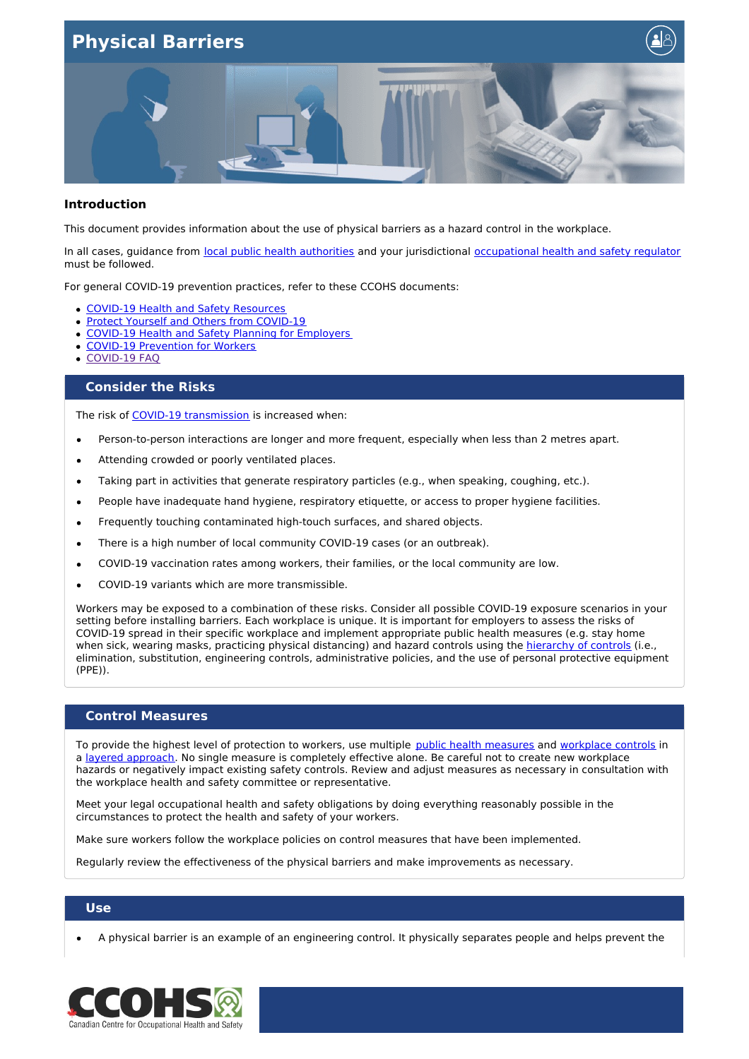

#### **Introduction**

This document provides information about the use of physical barriers as a hazard control in the workplace.

In all cases, guidance from local public health [authorities](https://www.canada.ca/en/public-health/services/diseases/2019-novel-coronavirus-infection/symptoms/provincial-territorial-resources-covid-19.html) and your jurisdictional [occupational](https://www.ccohs.ca/oshanswers/information/govt.html) health and safety regulator must be followed.

For general COVID-19 prevention practices, refer to these CCOHS documents:

- COVID-19 Health and Safety [Resources](https://www.ccohs.ca/products/publications/covid19-tool-kit/)
- Protect Yourself and Others from [COVID-19](https://www.ccohs.ca/covid19/protect-yourself/)
- COVID-19 Health and Safety Planning for [Employers](https://www.ccohs.ca/products/publications/covid19-employers/)
- COVID-19 [Prevention](https://www.ccohs.ca/products/publications/covid19-workers/) for Workers
- COVID-19 FAQ

### **Consider the Risks**

The risk of COVID-19 [transmission](https://www.canada.ca/en/public-health/services/diseases/2019-novel-coronavirus-infection/health-professionals/main-modes-transmission.html) is increased when:

- Person-to-person interactions are longer and more frequent, especially when less than 2 metres apart.  $\bullet$
- Attending crowded or poorly ventilated places.
- Taking part in activities that generate respiratory particles (e.g., when speaking, coughing, etc.).
- People have inadequate hand hygiene, respiratory etiquette, or access to proper hygiene facilities.
- Frequently touching contaminated high-touch surfaces, and shared objects.
- There is a high number of local community COVID-19 cases (or an outbreak).
- COVID-19 vaccination rates among workers, their families, or the local community are low.
- COVID-19 variants which are more transmissible.  $\bullet$

Workers may be exposed to a combination of these risks. Consider all possible COVID-19 exposure scenarios in your setting before installing barriers. Each workplace is unique. It is important for employers to assess the risks of COVID-19 spread in their specific workplace and implement appropriate public health measures (e.g. stay home when sick, wearing masks, practicing physical distancing) and hazard controls using the [hierarchy](https://www.ccohs.ca/images/products/infographics/download/hierarchy-covid.png) of controls (i.e., elimination, substitution, engineering controls, administrative policies, and the use of personal protective equipment (PPE)).

#### **Control Measures**

To provide the highest level of protection to workers, use multiple public health [measures](https://www.canada.ca/en/public-health/services/diseases/2019-novel-coronavirus-infection/guidance-documents/adjusting-public-health-measures-vaccination.html#a4) and [workplace](https://www.ccohs.ca/images/products/infographics/download/hierarchy-covid.png) controls in a layered [approach](https://www.ccohs.ca/covid19/controls-infographic/index.html). No single measure is completely effective alone. Be careful not to create new workplace hazards or negatively impact existing safety controls. Review and adjust measures as necessary in consultation with the workplace health and safety committee or representative.

Meet your legal occupational health and safety obligations by doing everything reasonably possible in the circumstances to protect the health and safety of your workers.

Make sure workers follow the workplace policies on control measures that have been implemented.

Regularly review the effectiveness of the physical barriers and make improvements as necessary.

#### **Use**

A physical barrier is an example of an engineering control. It physically separates people and helps prevent the

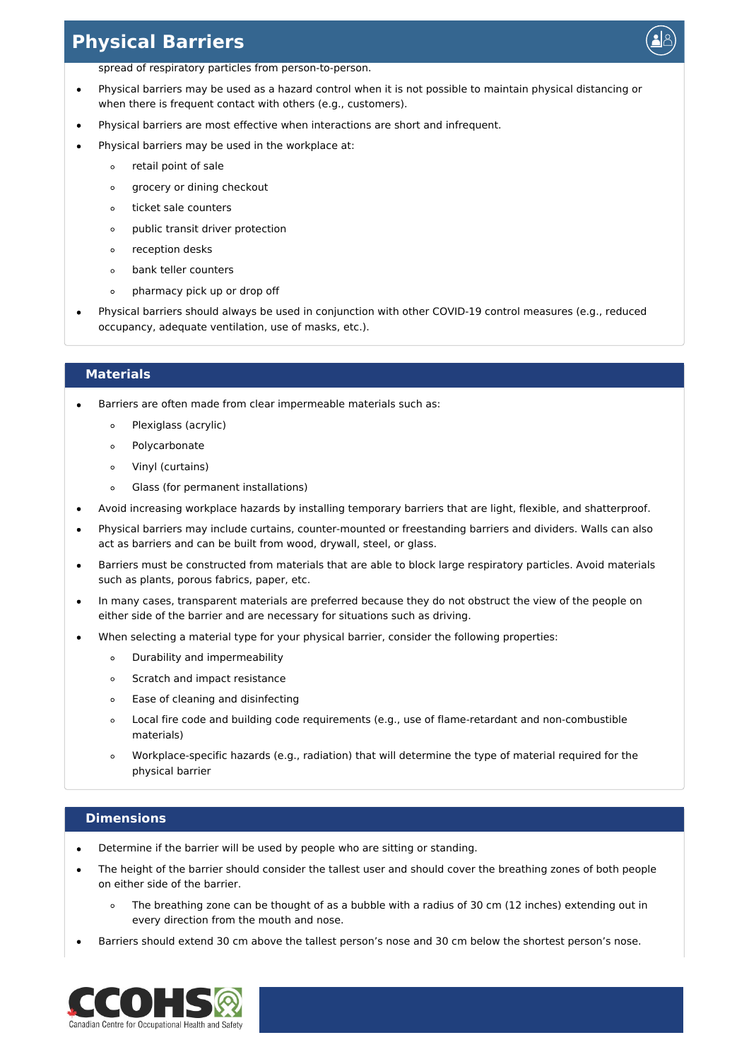### **Physical Barriers**

spread of respiratory particles from person-to-person.

- Physical barriers may be used as a hazard control when it is not possible to maintain physical distancing or when there is frequent contact with others (e.g., customers).
- Physical barriers are most effective when interactions are short and infrequent.
- Physical barriers may be used in the workplace at:
	- retail point of sale  $\circ$
	- $\circ$ grocery or dining checkout
	- ticket sale counters  $\circ$
	- $\circ$ public transit driver protection
	- reception desks  $\circ$
	- bank teller counters  $\circ$
	- pharmacy pick up or drop off  $\circ$
- Physical barriers should always be used in conjunction with other COVID-19 control measures (e.g., reduced occupancy, adequate ventilation, use of masks, etc.).

#### **Materials**

- Barriers are often made from clear impermeable materials such as:
	- Plexiglass (acrylic)  $\circ$
	- Polycarbonate  $\circ$
	- Vinyl (curtains)  $\circ$
	- Glass (for permanent installations)  $\circ$
- Avoid increasing workplace hazards by installing temporary barriers that are light, flexible, and shatterproof.
- Physical barriers may include curtains, counter-mounted or freestanding barriers and dividers. Walls can also act as barriers and can be built from wood, drywall, steel, or glass.
- Barriers must be constructed from materials that are able to block large respiratory particles. Avoid materials such as plants, porous fabrics, paper, etc.
- In many cases, transparent materials are preferred because they do not obstruct the view of the people on either side of the barrier and are necessary for situations such as driving.
- When selecting a material type for your physical barrier, consider the following properties:
	- Durability and impermeability  $\circ$
	- Scratch and impact resistance  $\circ$
	- Ease of cleaning and disinfecting  $\circ$
	- Local fire code and building code requirements (e.g., use of flame-retardant and non-combustible  $\circ$ materials)
	- Workplace-specific hazards (e.g., radiation) that will determine the type of material required for the  $\Omega$ physical barrier

#### **Dimensions**

- Determine if the barrier will be used by people who are sitting or standing.
- The height of the barrier should consider the tallest user and should cover the breathing zones of both people  $\bullet$ on either side of the barrier.
	- The breathing zone can be thought of as a bubble with a radius of 30 cm (12 inches) extending out in  $\sim$ every direction from the mouth and nose.
- Barriers should extend 30 cm above the tallest person's nose and 30 cm below the shortest person's nose.

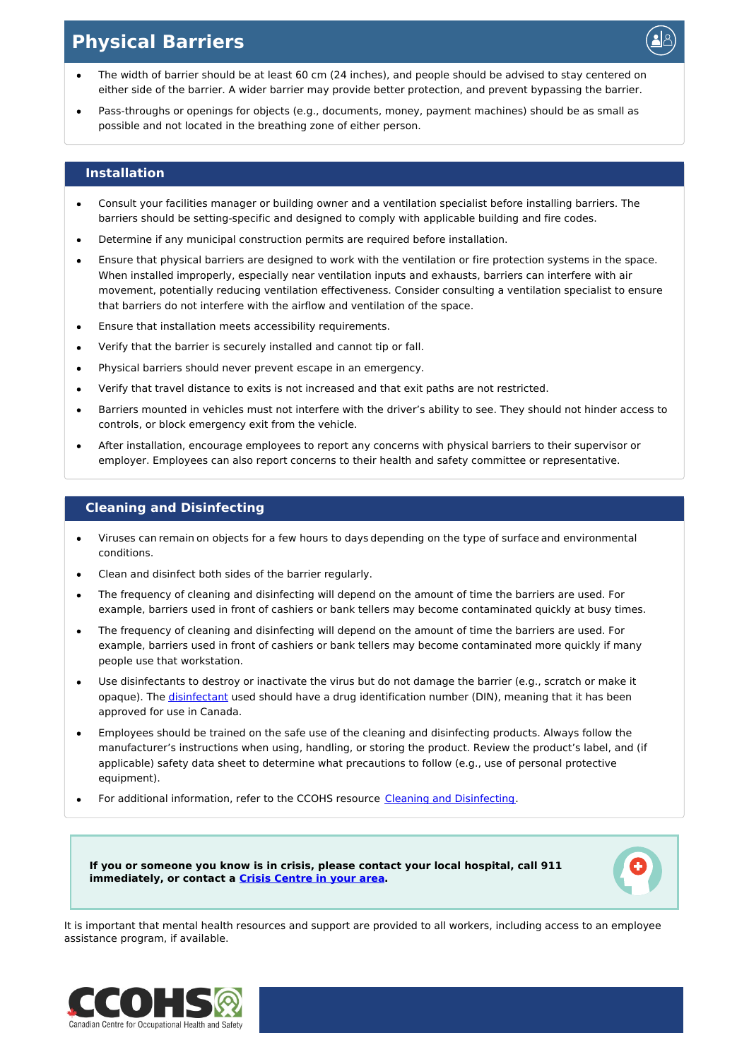# **Physical Barriers**

- The width of barrier should be at least 60 cm (24 inches), and people should be advised to stay centered on either side of the barrier. A wider barrier may provide better protection, and prevent bypassing the barrier.
- Pass-throughs or openings for objects (e.g., documents, money, payment machines) should be as small as possible and not located in the breathing zone of either person.

#### **Installation**

- $\bullet$ Consult your facilities manager or building owner and a ventilation specialist before installing barriers. The barriers should be setting-specific and designed to comply with applicable building and fire codes.
- Determine if any municipal construction permits are required before installation.
- Ensure that physical barriers are designed to work with the ventilation or fire protection systems in the space.  $\bullet$ When installed improperly, especially near ventilation inputs and exhausts, barriers can interfere with air movement, potentially reducing ventilation effectiveness. Consider consulting a ventilation specialist to ensure that barriers do not interfere with the airflow and ventilation of the space.
- Ensure that installation meets accessibility requirements.  $\bullet$
- Verify that the barrier is securely installed and cannot tip or fall.  $\bullet$
- Physical barriers should never prevent escape in an emergency.
- Verify that travel distance to exits is not increased and that exit paths are not restricted.
- Barriers mounted in vehicles must not interfere with the driver's ability to see. They should not hinder access to controls, or block emergency exit from the vehicle.
- After installation, encourage employees to report any concerns with physical barriers to their supervisor or employer. Employees can also report concerns to their health and safety committee or representative.

### **Cleaning and Disinfecting**

- Viruses can remain on objects for a few hours to days depending on the type of surface and environmental  $\bullet$ conditions.
- Clean and disinfect both sides of the barrier regularly.
- $\bullet$ The frequency of cleaning and disinfecting will depend on the amount of time the barriers are used. For example, barriers used in front of cashiers or bank tellers may become contaminated quickly at busy times.
- $\bullet$ The frequency of cleaning and disinfecting will depend on the amount of time the barriers are used. For example, barriers used in front of cashiers or bank tellers may become contaminated more quickly if many people use that workstation.
- Use disinfectants to destroy or inactivate the virus but do not damage the barrier (e.g., scratch or make it  $\bullet$ opaque). The [disinfectant](https://www.canada.ca/en/health-canada/services/drugs-health-products/disinfectants/covid-19/list.html) used should have a drug identification number (DIN), meaning that it has been approved for use in Canada.
- Employees should be trained on the safe use of the cleaning and disinfecting products. Always follow the  $\bullet$ manufacturer's instructions when using, handling, or storing the product. Review the product's label, and (if applicable) safety data sheet to determine what precautions to follow (e.g., use of personal protective equipment).
- For additional information, refer to the CCOHS resource Cleaning and [Disinfecting](https://www.ccohs.ca/covid19/cleaning-disinfecting/).

**If you or someone you know is in crisis, please contact your local hospital, call 911 immediately, or contact a Crisis [Centre](https://www.canada.ca/en/public-health/services/mental-health-services/mental-health-get-help.html) in your area.**



It is important that mental health resources and support are provided to all workers, including access to an employee assistance program, if available.